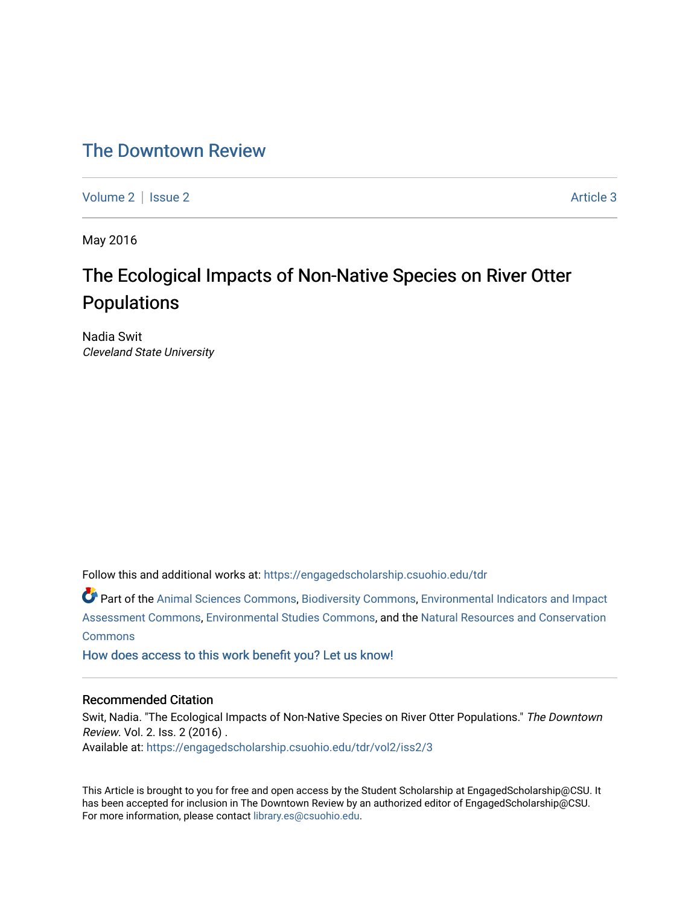## [The Downtown Review](https://engagedscholarship.csuohio.edu/tdr)

[Volume 2](https://engagedscholarship.csuohio.edu/tdr/vol2) | [Issue 2](https://engagedscholarship.csuohio.edu/tdr/vol2/iss2) Article 3

May 2016

# The Ecological Impacts of Non-Native Species on River Otter Populations

Nadia Swit Cleveland State University

Follow this and additional works at: [https://engagedscholarship.csuohio.edu/tdr](https://engagedscholarship.csuohio.edu/tdr?utm_source=engagedscholarship.csuohio.edu%2Ftdr%2Fvol2%2Fiss2%2F3&utm_medium=PDF&utm_campaign=PDFCoverPages) 

Part of the [Animal Sciences Commons,](http://network.bepress.com/hgg/discipline/76?utm_source=engagedscholarship.csuohio.edu%2Ftdr%2Fvol2%2Fiss2%2F3&utm_medium=PDF&utm_campaign=PDFCoverPages) [Biodiversity Commons](http://network.bepress.com/hgg/discipline/1127?utm_source=engagedscholarship.csuohio.edu%2Ftdr%2Fvol2%2Fiss2%2F3&utm_medium=PDF&utm_campaign=PDFCoverPages), [Environmental Indicators and Impact](http://network.bepress.com/hgg/discipline/1015?utm_source=engagedscholarship.csuohio.edu%2Ftdr%2Fvol2%2Fiss2%2F3&utm_medium=PDF&utm_campaign=PDFCoverPages)  [Assessment Commons,](http://network.bepress.com/hgg/discipline/1015?utm_source=engagedscholarship.csuohio.edu%2Ftdr%2Fvol2%2Fiss2%2F3&utm_medium=PDF&utm_campaign=PDFCoverPages) [Environmental Studies Commons](http://network.bepress.com/hgg/discipline/1333?utm_source=engagedscholarship.csuohio.edu%2Ftdr%2Fvol2%2Fiss2%2F3&utm_medium=PDF&utm_campaign=PDFCoverPages), and the [Natural Resources and Conservation](http://network.bepress.com/hgg/discipline/168?utm_source=engagedscholarship.csuohio.edu%2Ftdr%2Fvol2%2Fiss2%2F3&utm_medium=PDF&utm_campaign=PDFCoverPages) [Commons](http://network.bepress.com/hgg/discipline/168?utm_source=engagedscholarship.csuohio.edu%2Ftdr%2Fvol2%2Fiss2%2F3&utm_medium=PDF&utm_campaign=PDFCoverPages)

[How does access to this work benefit you? Let us know!](http://library.csuohio.edu/engaged/)

#### Recommended Citation

Swit, Nadia. "The Ecological Impacts of Non-Native Species on River Otter Populations." The Downtown Review. Vol. 2. Iss. 2 (2016) . Available at: [https://engagedscholarship.csuohio.edu/tdr/vol2/iss2/3](https://engagedscholarship.csuohio.edu/tdr/vol2/iss2/3?utm_source=engagedscholarship.csuohio.edu%2Ftdr%2Fvol2%2Fiss2%2F3&utm_medium=PDF&utm_campaign=PDFCoverPages) 

This Article is brought to you for free and open access by the Student Scholarship at EngagedScholarship@CSU. It has been accepted for inclusion in The Downtown Review by an authorized editor of EngagedScholarship@CSU. For more information, please contact [library.es@csuohio.edu.](mailto:library.es@csuohio.edu)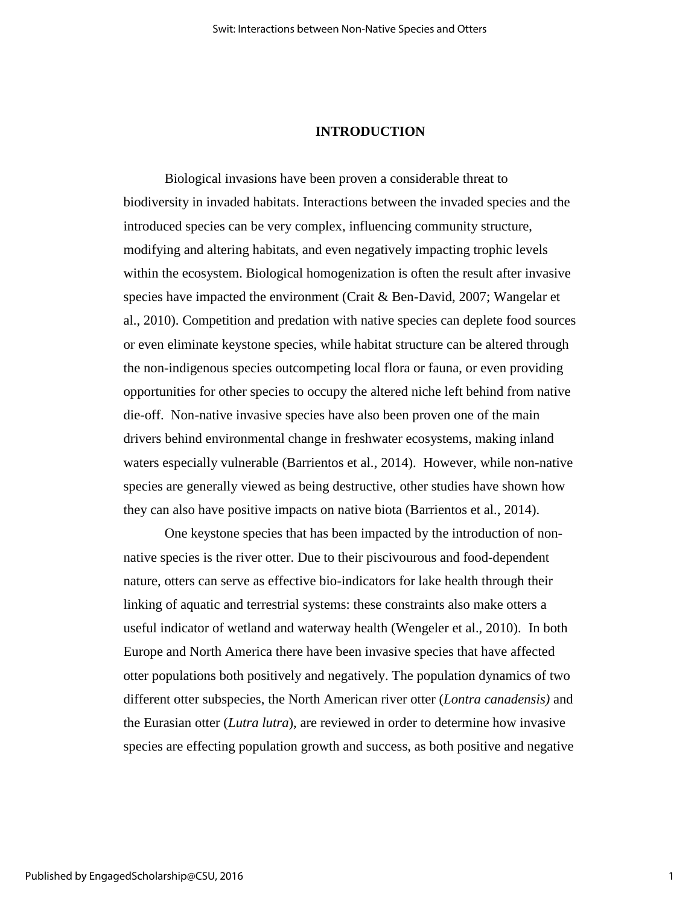#### **INTRODUCTION**

Biological invasions have been proven a considerable threat to biodiversity in invaded habitats. Interactions between the invaded species and the introduced species can be very complex, influencing community structure, modifying and altering habitats, and even negatively impacting trophic levels within the ecosystem. Biological homogenization is often the result after invasive species have impacted the environment (Crait & Ben-David, 2007; Wangelar et al., 2010). Competition and predation with native species can deplete food sources or even eliminate keystone species, while habitat structure can be altered through the non-indigenous species outcompeting local flora or fauna, or even providing opportunities for other species to occupy the altered niche left behind from native die-off. Non-native invasive species have also been proven one of the main drivers behind environmental change in freshwater ecosystems, making inland waters especially vulnerable (Barrientos et al., 2014). However, while non-native species are generally viewed as being destructive, other studies have shown how they can also have positive impacts on native biota (Barrientos et al., 2014).

One keystone species that has been impacted by the introduction of nonnative species is the river otter. Due to their piscivourous and food-dependent nature, otters can serve as effective bio-indicators for lake health through their linking of aquatic and terrestrial systems: these constraints also make otters a useful indicator of wetland and waterway health (Wengeler et al., 2010). In both Europe and North America there have been invasive species that have affected otter populations both positively and negatively. The population dynamics of two different otter subspecies, the North American river otter (*Lontra canadensis)* and the Eurasian otter (*Lutra lutra*), are reviewed in order to determine how invasive species are effecting population growth and success, as both positive and negative

1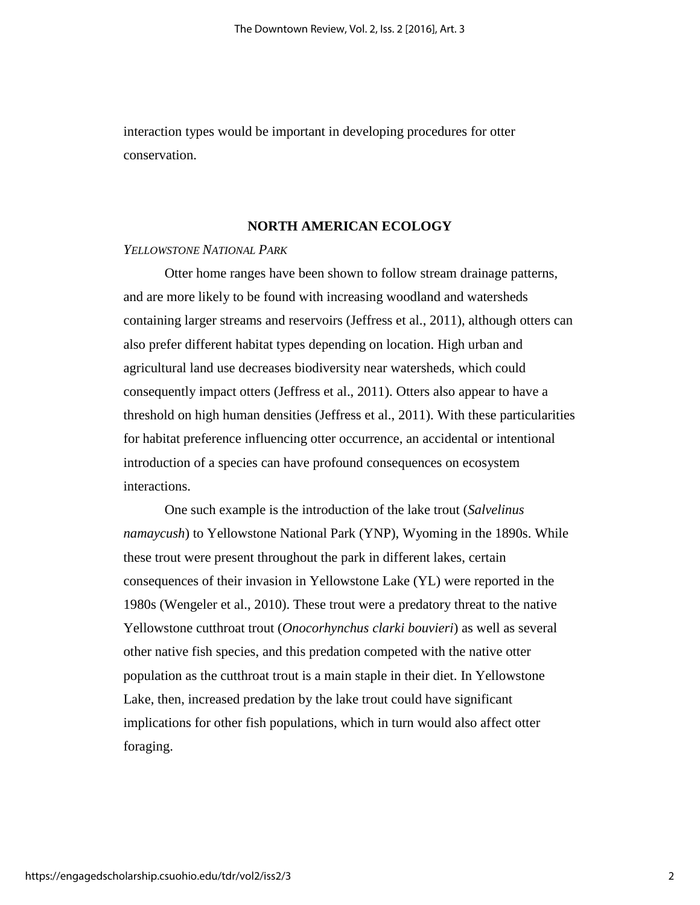interaction types would be important in developing procedures for otter conservation.

### **NORTH AMERICAN ECOLOGY**

#### *YELLOWSTONE NATIONAL PARK*

Otter home ranges have been shown to follow stream drainage patterns, and are more likely to be found with increasing woodland and watersheds containing larger streams and reservoirs (Jeffress et al., 2011), although otters can also prefer different habitat types depending on location. High urban and agricultural land use decreases biodiversity near watersheds, which could consequently impact otters (Jeffress et al., 2011). Otters also appear to have a threshold on high human densities (Jeffress et al., 2011). With these particularities for habitat preference influencing otter occurrence, an accidental or intentional introduction of a species can have profound consequences on ecosystem interactions.

One such example is the introduction of the lake trout (*Salvelinus namaycush*) to Yellowstone National Park (YNP), Wyoming in the 1890s. While these trout were present throughout the park in different lakes, certain consequences of their invasion in Yellowstone Lake (YL) were reported in the 1980s (Wengeler et al., 2010). These trout were a predatory threat to the native Yellowstone cutthroat trout (*Onocorhynchus clarki bouvieri*) as well as several other native fish species, and this predation competed with the native otter population as the cutthroat trout is a main staple in their diet. In Yellowstone Lake, then, increased predation by the lake trout could have significant implications for other fish populations, which in turn would also affect otter foraging.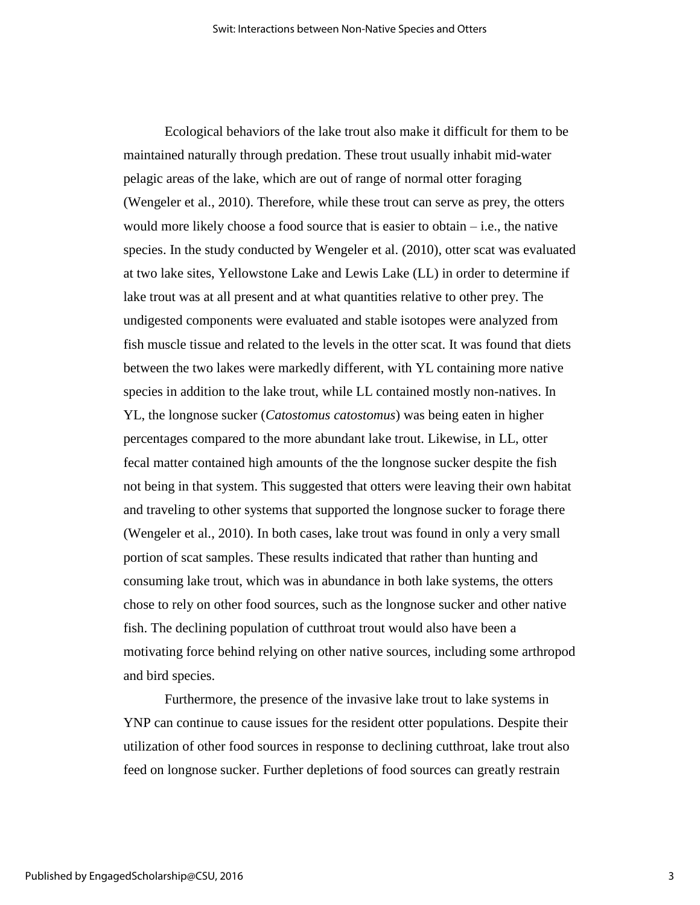Ecological behaviors of the lake trout also make it difficult for them to be maintained naturally through predation. These trout usually inhabit mid-water pelagic areas of the lake, which are out of range of normal otter foraging (Wengeler et al., 2010). Therefore, while these trout can serve as prey, the otters would more likely choose a food source that is easier to obtain – i.e., the native species. In the study conducted by Wengeler et al. (2010), otter scat was evaluated at two lake sites, Yellowstone Lake and Lewis Lake (LL) in order to determine if lake trout was at all present and at what quantities relative to other prey. The undigested components were evaluated and stable isotopes were analyzed from fish muscle tissue and related to the levels in the otter scat. It was found that diets between the two lakes were markedly different, with YL containing more native species in addition to the lake trout, while LL contained mostly non-natives. In YL, the longnose sucker (*Catostomus catostomus*) was being eaten in higher percentages compared to the more abundant lake trout. Likewise, in LL, otter fecal matter contained high amounts of the the longnose sucker despite the fish not being in that system. This suggested that otters were leaving their own habitat and traveling to other systems that supported the longnose sucker to forage there (Wengeler et al., 2010). In both cases, lake trout was found in only a very small portion of scat samples. These results indicated that rather than hunting and consuming lake trout, which was in abundance in both lake systems, the otters chose to rely on other food sources, such as the longnose sucker and other native fish. The declining population of cutthroat trout would also have been a motivating force behind relying on other native sources, including some arthropod and bird species.

Furthermore, the presence of the invasive lake trout to lake systems in YNP can continue to cause issues for the resident otter populations. Despite their utilization of other food sources in response to declining cutthroat, lake trout also feed on longnose sucker. Further depletions of food sources can greatly restrain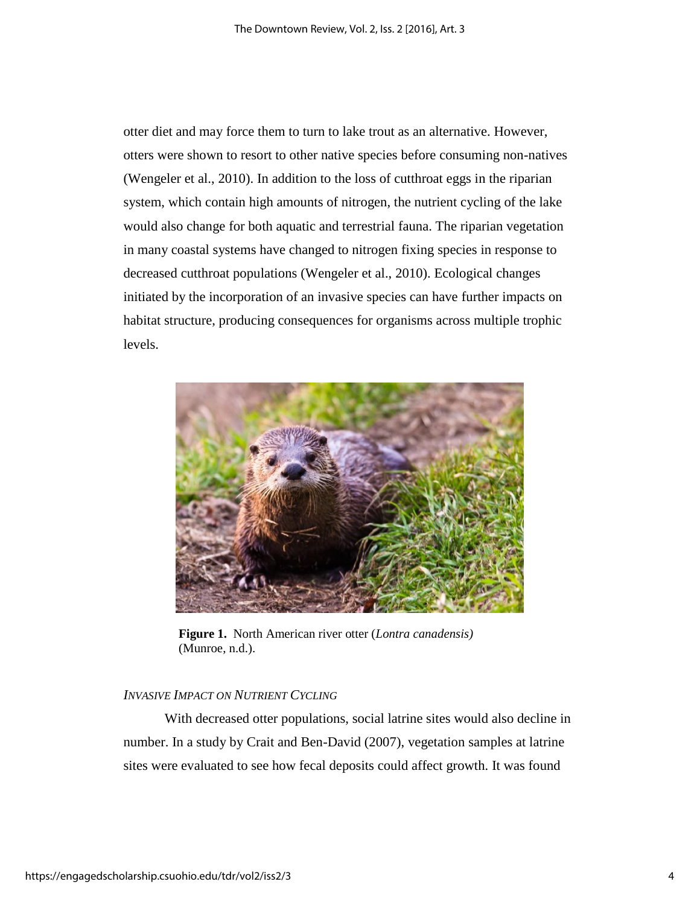otter diet and may force them to turn to lake trout as an alternative. However, otters were shown to resort to other native species before consuming non-natives (Wengeler et al., 2010). In addition to the loss of cutthroat eggs in the riparian system, which contain high amounts of nitrogen, the nutrient cycling of the lake would also change for both aquatic and terrestrial fauna. The riparian vegetation in many coastal systems have changed to nitrogen fixing species in response to decreased cutthroat populations (Wengeler et al., 2010). Ecological changes initiated by the incorporation of an invasive species can have further impacts on habitat structure, producing consequences for organisms across multiple trophic levels.



**Figure 1.** North American river otter (*Lontra canadensis)*  (Munroe, n.d.).

#### *INVASIVE IMPACT ON NUTRIENT CYCLING*

With decreased otter populations, social latrine sites would also decline in number. In a study by Crait and Ben-David (2007), vegetation samples at latrine sites were evaluated to see how fecal deposits could affect growth. It was found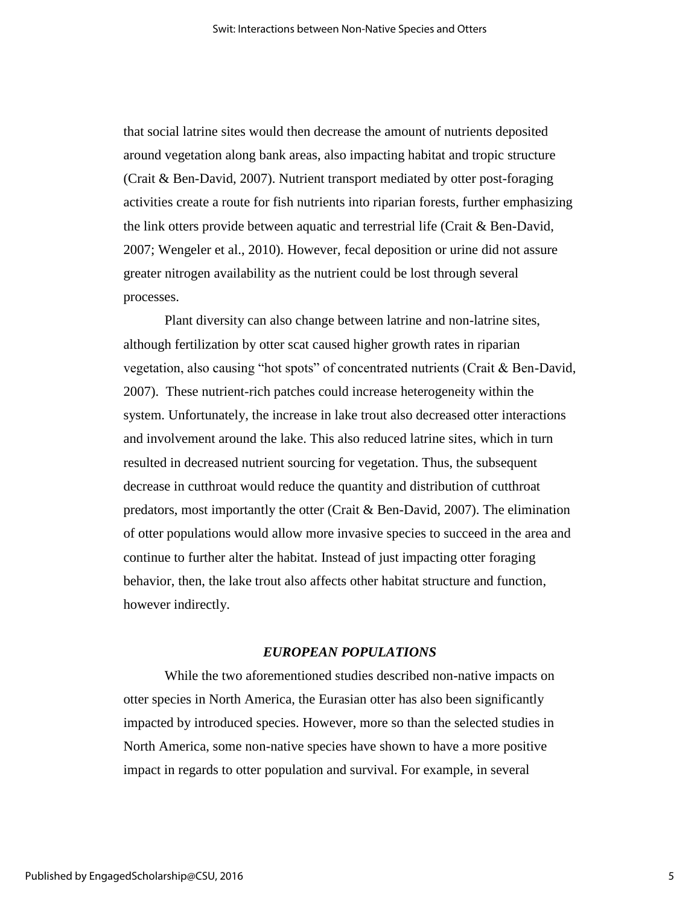that social latrine sites would then decrease the amount of nutrients deposited around vegetation along bank areas, also impacting habitat and tropic structure (Crait & Ben-David, 2007). Nutrient transport mediated by otter post-foraging activities create a route for fish nutrients into riparian forests, further emphasizing the link otters provide between aquatic and terrestrial life (Crait & Ben-David, 2007; Wengeler et al., 2010). However, fecal deposition or urine did not assure greater nitrogen availability as the nutrient could be lost through several processes.

Plant diversity can also change between latrine and non-latrine sites, although fertilization by otter scat caused higher growth rates in riparian vegetation, also causing "hot spots" of concentrated nutrients (Crait & Ben-David, 2007). These nutrient-rich patches could increase heterogeneity within the system. Unfortunately, the increase in lake trout also decreased otter interactions and involvement around the lake. This also reduced latrine sites, which in turn resulted in decreased nutrient sourcing for vegetation. Thus, the subsequent decrease in cutthroat would reduce the quantity and distribution of cutthroat predators, most importantly the otter (Crait  $\&$  Ben-David, 2007). The elimination of otter populations would allow more invasive species to succeed in the area and continue to further alter the habitat. Instead of just impacting otter foraging behavior, then, the lake trout also affects other habitat structure and function, however indirectly.

#### *EUROPEAN POPULATIONS*

While the two aforementioned studies described non-native impacts on otter species in North America, the Eurasian otter has also been significantly impacted by introduced species. However, more so than the selected studies in North America, some non-native species have shown to have a more positive impact in regards to otter population and survival. For example, in several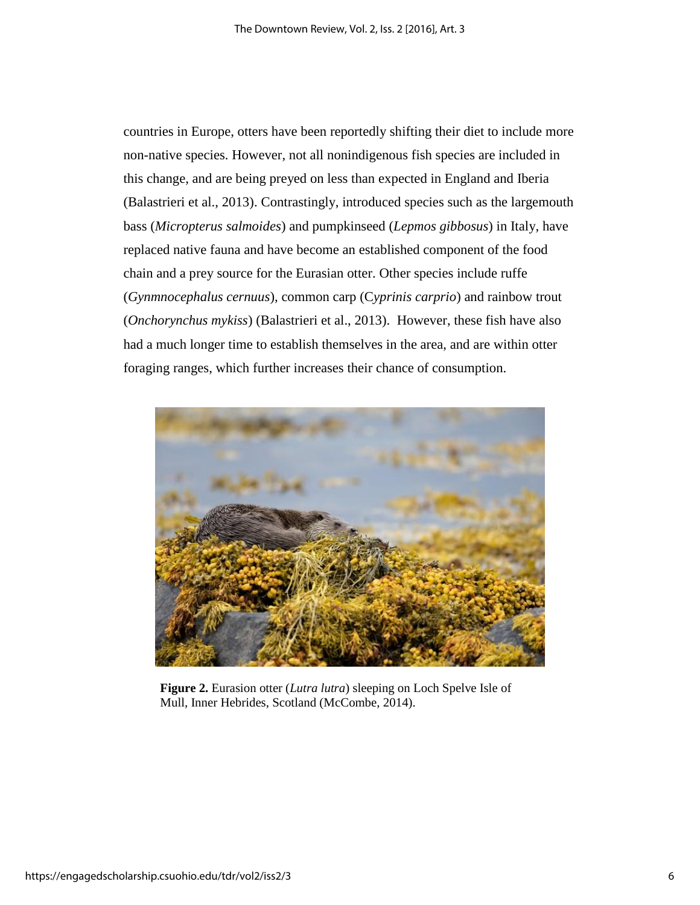countries in Europe, otters have been reportedly shifting their diet to include more non-native species. However, not all nonindigenous fish species are included in this change, and are being preyed on less than expected in England and Iberia (Balastrieri et al., 2013). Contrastingly, introduced species such as the largemouth bass (*Micropterus salmoides*) and pumpkinseed (*Lepmos gibbosus*) in Italy, have replaced native fauna and have become an established component of the food chain and a prey source for the Eurasian otter. Other species include ruffe (*Gynmnocephalus cernuus*), common carp (C*yprinis carprio*) and rainbow trout (*Onchorynchus mykiss*) (Balastrieri et al., 2013). However, these fish have also had a much longer time to establish themselves in the area, and are within otter foraging ranges, which further increases their chance of consumption.



**Figure 2.** Eurasion otter (*Lutra lutra*) sleeping on Loch Spelve Isle of Mull, Inner Hebrides, Scotland (McCombe, 2014).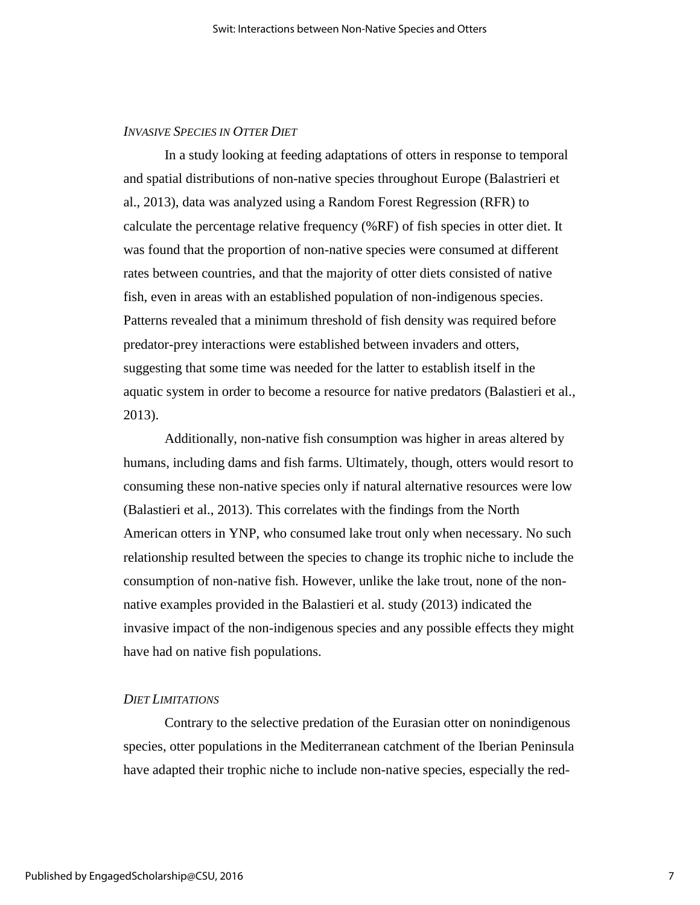### *INVASIVE SPECIES IN OTTER DIET*

In a study looking at feeding adaptations of otters in response to temporal and spatial distributions of non-native species throughout Europe (Balastrieri et al., 2013), data was analyzed using a Random Forest Regression (RFR) to calculate the percentage relative frequency (%RF) of fish species in otter diet. It was found that the proportion of non-native species were consumed at different rates between countries, and that the majority of otter diets consisted of native fish, even in areas with an established population of non-indigenous species. Patterns revealed that a minimum threshold of fish density was required before predator-prey interactions were established between invaders and otters, suggesting that some time was needed for the latter to establish itself in the aquatic system in order to become a resource for native predators (Balastieri et al., 2013).

Additionally, non-native fish consumption was higher in areas altered by humans, including dams and fish farms. Ultimately, though, otters would resort to consuming these non-native species only if natural alternative resources were low (Balastieri et al., 2013). This correlates with the findings from the North American otters in YNP, who consumed lake trout only when necessary. No such relationship resulted between the species to change its trophic niche to include the consumption of non-native fish. However, unlike the lake trout, none of the nonnative examples provided in the Balastieri et al. study (2013) indicated the invasive impact of the non-indigenous species and any possible effects they might have had on native fish populations.

### *DIET LIMITATIONS*

Contrary to the selective predation of the Eurasian otter on nonindigenous species, otter populations in the Mediterranean catchment of the Iberian Peninsula have adapted their trophic niche to include non-native species, especially the red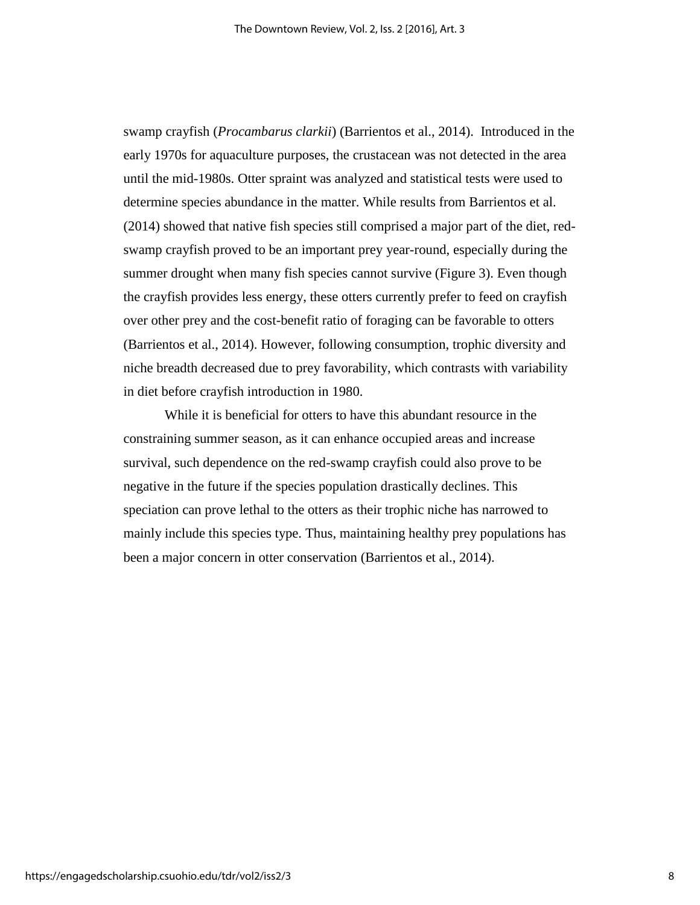swamp crayfish (*Procambarus clarkii*) (Barrientos et al., 2014). Introduced in the early 1970s for aquaculture purposes, the crustacean was not detected in the area until the mid-1980s. Otter spraint was analyzed and statistical tests were used to determine species abundance in the matter. While results from Barrientos et al. (2014) showed that native fish species still comprised a major part of the diet, redswamp crayfish proved to be an important prey year-round, especially during the summer drought when many fish species cannot survive (Figure 3). Even though the crayfish provides less energy, these otters currently prefer to feed on crayfish over other prey and the cost-benefit ratio of foraging can be favorable to otters (Barrientos et al., 2014). However, following consumption, trophic diversity and niche breadth decreased due to prey favorability, which contrasts with variability in diet before crayfish introduction in 1980.

While it is beneficial for otters to have this abundant resource in the constraining summer season, as it can enhance occupied areas and increase survival, such dependence on the red-swamp crayfish could also prove to be negative in the future if the species population drastically declines. This speciation can prove lethal to the otters as their trophic niche has narrowed to mainly include this species type. Thus, maintaining healthy prey populations has been a major concern in otter conservation (Barrientos et al., 2014).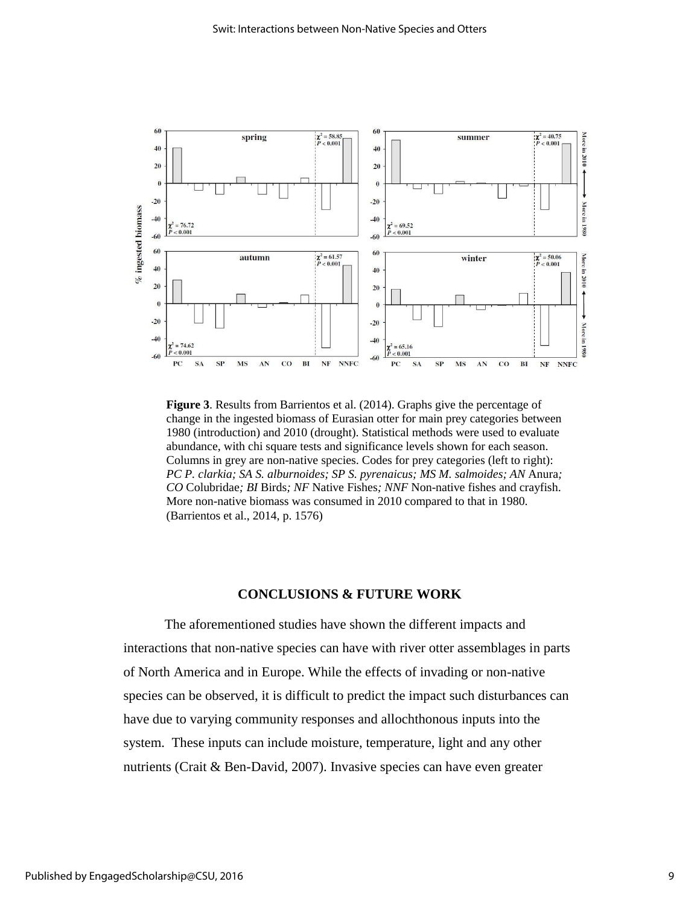

**Figure 3**. Results from Barrientos et al. (2014). Graphs give the percentage of change in the ingested biomass of Eurasian otter for main prey categories between 1980 (introduction) and 2010 (drought). Statistical methods were used to evaluate abundance, with chi square tests and significance levels shown for each season. Columns in grey are non-native species. Codes for prey categories (left to right): *PC P. clarkia; SA S. alburnoides; SP S. pyrenaicus; MS M. salmoides; AN* Anura*; CO* Colubridae*; BI* Birds*; NF* Native Fishes*; NNF* Non-native fishes and crayfish. More non-native biomass was consumed in 2010 compared to that in 1980. (Barrientos et al., 2014, p. 1576)

#### **CONCLUSIONS & FUTURE WORK**

The aforementioned studies have shown the different impacts and interactions that non-native species can have with river otter assemblages in parts of North America and in Europe. While the effects of invading or non-native species can be observed, it is difficult to predict the impact such disturbances can have due to varying community responses and allochthonous inputs into the system. These inputs can include moisture, temperature, light and any other nutrients (Crait & Ben-David, 2007). Invasive species can have even greater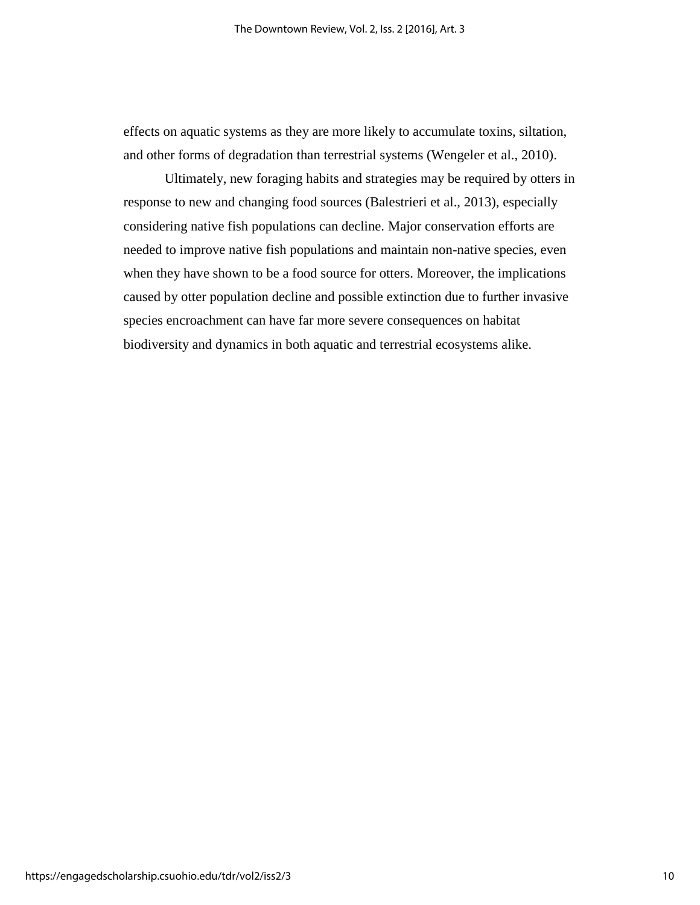effects on aquatic systems as they are more likely to accumulate toxins, siltation, and other forms of degradation than terrestrial systems (Wengeler et al., 2010).

Ultimately, new foraging habits and strategies may be required by otters in response to new and changing food sources (Balestrieri et al., 2013), especially considering native fish populations can decline. Major conservation efforts are needed to improve native fish populations and maintain non-native species, even when they have shown to be a food source for otters. Moreover, the implications caused by otter population decline and possible extinction due to further invasive species encroachment can have far more severe consequences on habitat biodiversity and dynamics in both aquatic and terrestrial ecosystems alike.